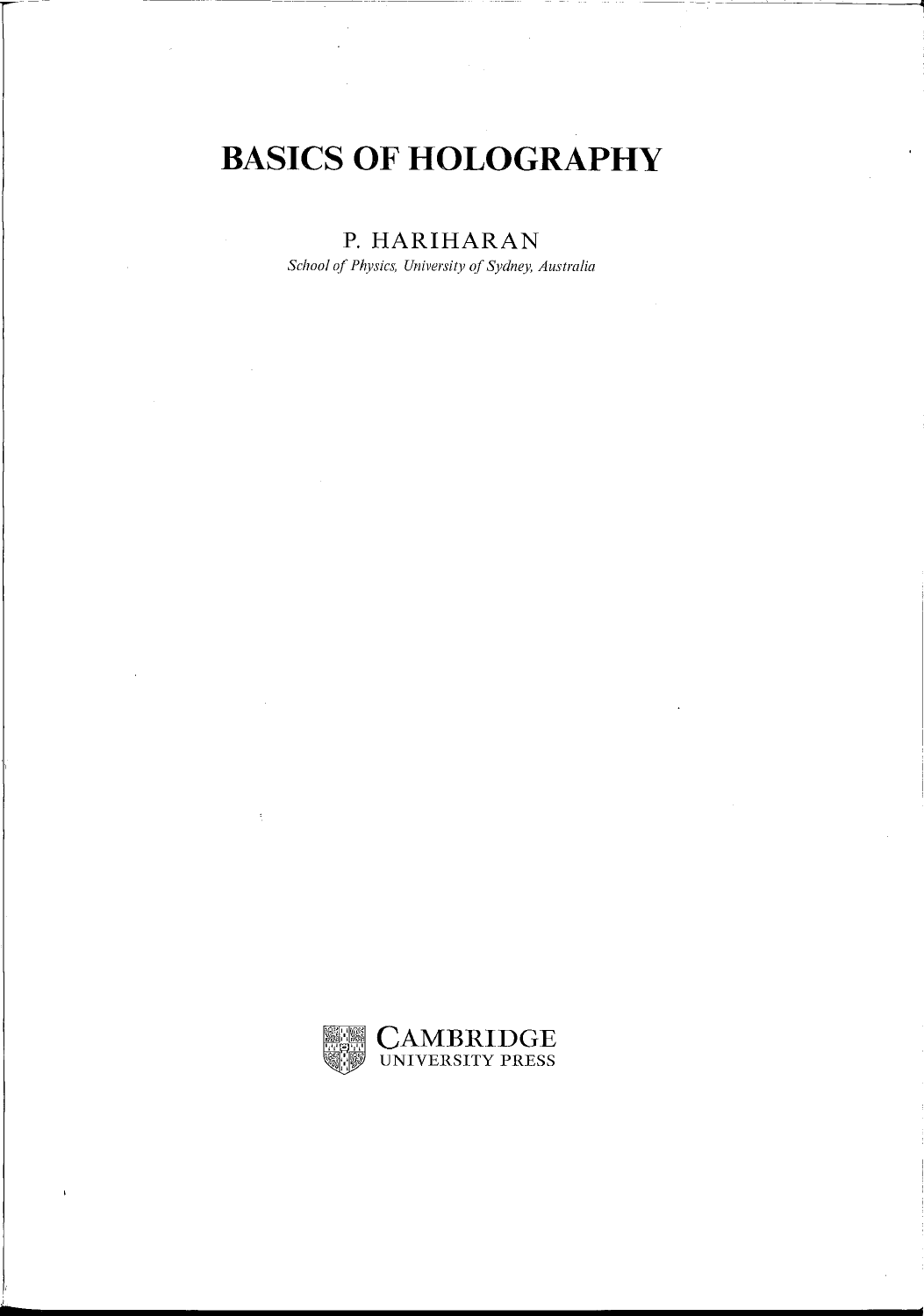# **BASICS OF HOLOGRAPHY**

--------~~

### **P. HARIHARAN**

*School of Physics, University ()f Sydney, Australia* 



**6**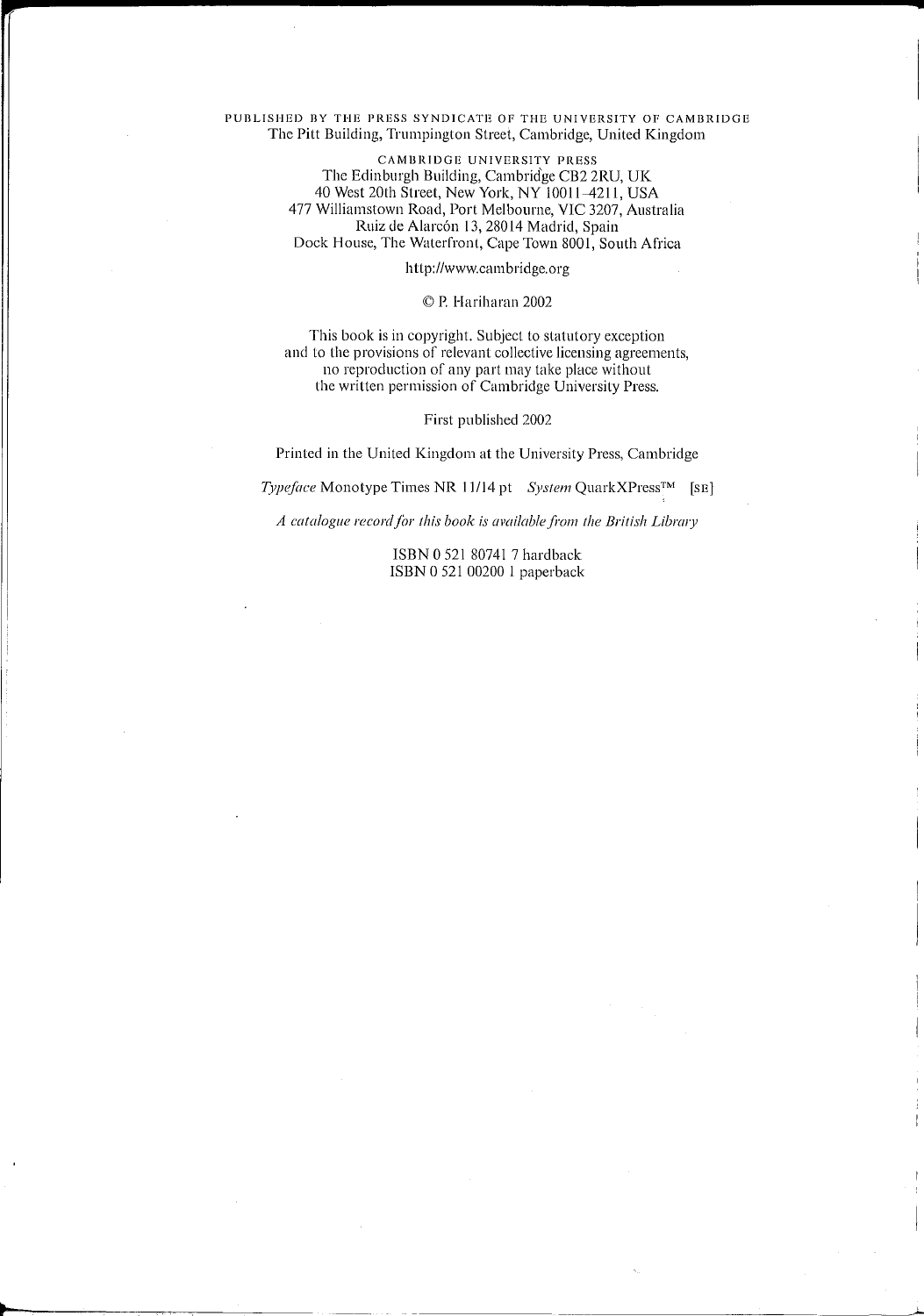#### PUBLISHED BY THE PRESS SYNDICATE OF THE UNIVERSITY OF CAMBRIDGE The Pitt Building, Trumpington Street, Cambridge, United Kingdom

CAMBRIDGE UNIVERSITY PRESS The Edinburgh Building, Cambrid'ge CB2 2RU, UK 40 West 20th Street, New York, NY 10011-4211, USA 477 Williamstown Road, Port Melbourne, VIC 3207, Australia Ruiz de Alarcón 13, 28014 Madrid, Spain Dock House, The Waterfront, Cape Town 8001, South Africa

http://www.cambridge.org

#### © P. Hariharan 2002

This book is in copyright. Subject to statutory exception and to the provisions of relevant collective licensing agreements, no reproduction of any part may take place without the written permission of Cambridge University Press.

#### First published 2002

Printed in the United Kingdom at the University Press, Cambridge

*Typeface* Monotype Times NR 11/14 pt *System* QuarkXPress™ [SE]

A catalogue record for this book is available from the British Library

ISBN 0 521 807417 hardback ISBN 0521 00200 1 paperback

.....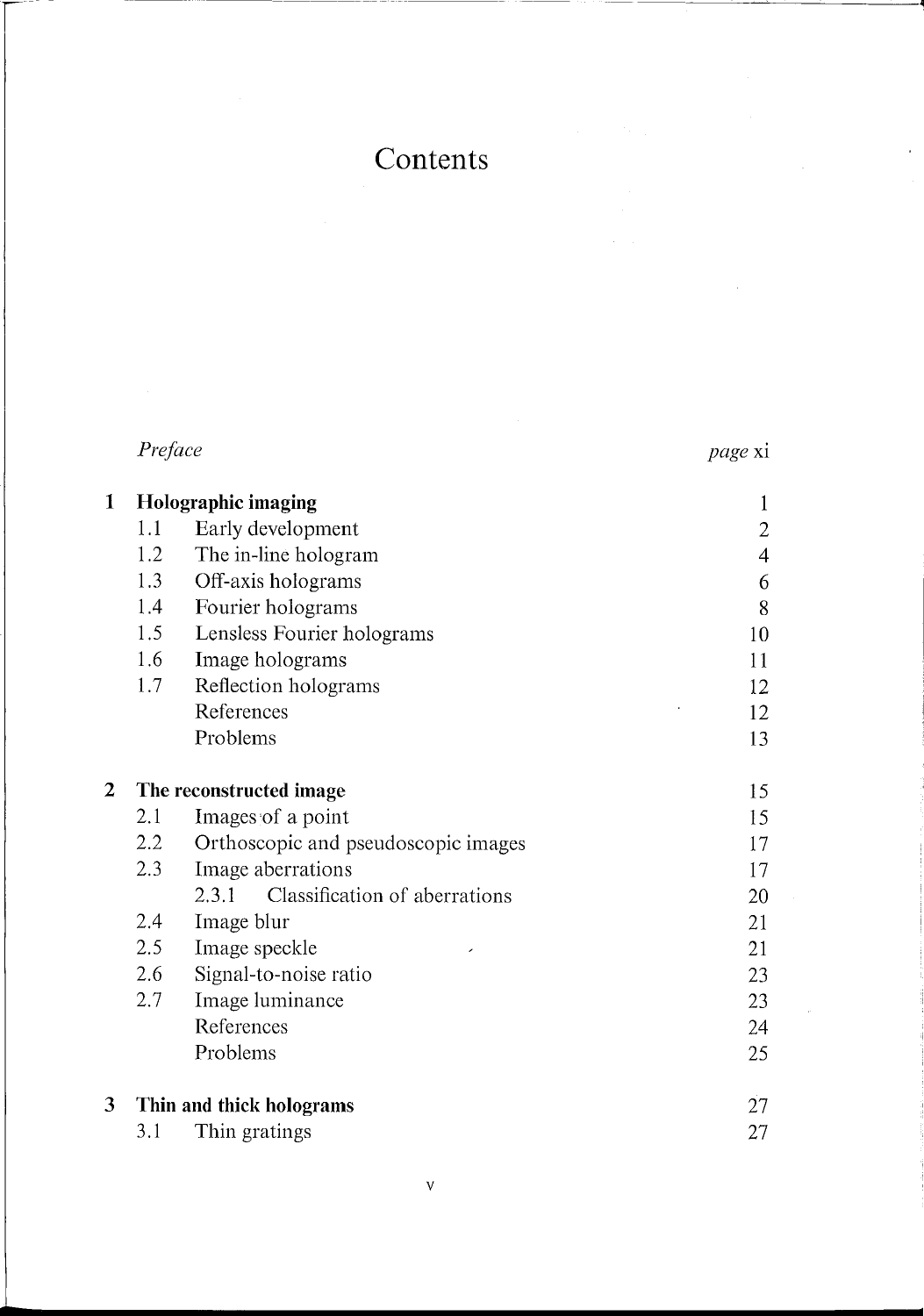## Contents

 $\overline{\phantom{a}}$ 

 $\mathcal{L}_{\mathcal{L}}$ 

------------

|              | Preface                 |                                        | <i>page</i> xi |  |
|--------------|-------------------------|----------------------------------------|----------------|--|
| 1            | Holographic imaging     |                                        | 1              |  |
|              | 1.1                     | Early development                      | $\overline{2}$ |  |
|              | 1.2                     | The in-line hologram                   | $\overline{4}$ |  |
|              | 1.3                     | Off-axis holograms                     | 6              |  |
|              | 1.4                     | Fourier holograms                      | 8              |  |
|              | 1.5                     | Lensless Fourier holograms             | 10             |  |
|              | 1.6                     | Image holograms                        | 11             |  |
|              | 1.7                     | Reflection holograms                   | 12             |  |
|              |                         | References                             | 12             |  |
|              |                         | Problems                               | 13             |  |
| $\mathbf{2}$ | The reconstructed image |                                        | 15             |  |
|              | 2.1                     | Images of a point                      | 15             |  |
|              | 2.2                     | Orthoscopic and pseudoscopic images    | 17             |  |
|              | 2.3                     | Image aberrations                      | 17             |  |
|              |                         | Classification of aberrations<br>2.3.1 | 20             |  |
|              | 2.4                     | Image blur                             | 21             |  |
|              | 2.5                     | Image speckle                          | 21             |  |
|              | 2.6                     | Signal-to-noise ratio                  | 23             |  |
|              | 2.7                     | Image luminance                        | 23             |  |
|              |                         | References                             | 24             |  |
|              |                         | Problems                               | 25             |  |
| 3            |                         | Thin and thick holograms               | 27             |  |
|              | 3.1                     | Thin gratings                          | 27             |  |

**•**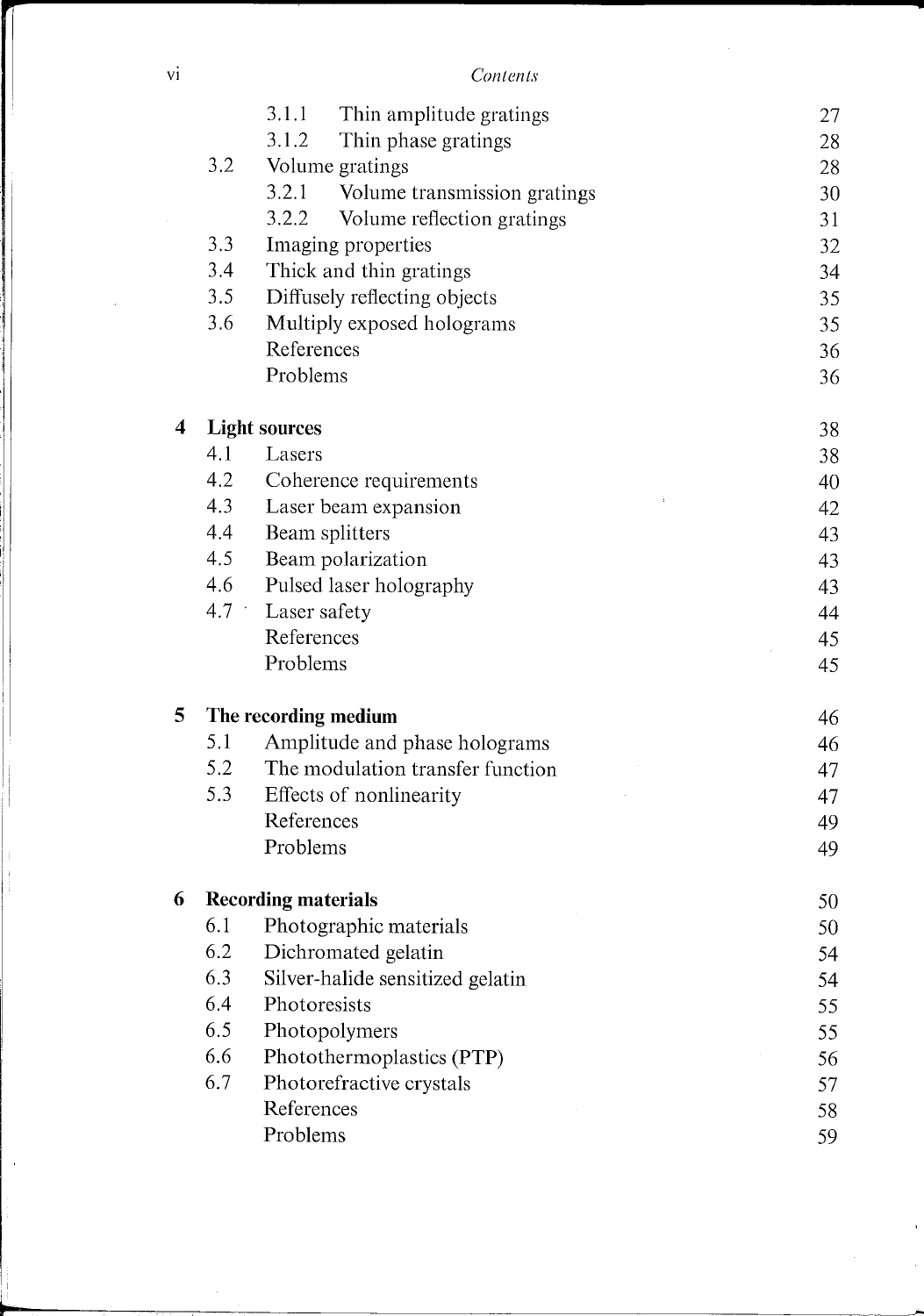VI *Contents* 

|                         |                                 | 3.1.1<br>Thin amplitude gratings    | 27 |
|-------------------------|---------------------------------|-------------------------------------|----|
|                         |                                 | 3.1.2<br>Thin phase gratings        | 28 |
|                         | 3.2                             | Volume gratings                     | 28 |
|                         |                                 | 3.2.1 Volume transmission gratings  | 30 |
|                         |                                 | 3.2.2<br>Volume reflection gratings | 31 |
|                         | 3.3                             | Imaging properties                  | 32 |
|                         | 3.4                             | Thick and thin gratings             | 34 |
|                         | 3.5                             | Diffusely reflecting objects        | 35 |
|                         | 3.6                             | Multiply exposed holograms          | 35 |
|                         |                                 | References                          | 36 |
|                         |                                 | Problems                            | 36 |
| $\overline{\mathbf{4}}$ |                                 | <b>Light sources</b>                | 38 |
|                         | 4.1                             | Lasers                              | 38 |
|                         | 4.2                             | Coherence requirements              | 40 |
|                         | 4.3                             | Laser beam expansion                | 42 |
|                         | 4.4                             | Beam splitters                      | 43 |
|                         | 4.5                             | Beam polarization                   | 43 |
|                         | 4.6                             | Pulsed laser holography             | 43 |
|                         | 4.7<br>$\overline{\phantom{a}}$ | Laser safety                        | 44 |
|                         |                                 | References                          | 45 |
|                         |                                 | Problems                            | 45 |
| 5                       |                                 | The recording medium                | 46 |
|                         | 5.1                             | Amplitude and phase holograms       | 46 |
|                         | 5.2                             | The modulation transfer function    | 47 |
|                         | 5.3                             | Effects of nonlinearity             | 47 |
|                         |                                 | References                          | 49 |
|                         |                                 | Problems                            | 49 |
| 6                       |                                 | <b>Recording materials</b>          | 50 |
|                         | 6.1                             | Photographic materials              | 50 |
|                         | 6.2                             | Dichromated gelatin                 | 54 |
|                         | 6.3                             | Silver-halide sensitized gelatin    | 54 |
|                         | 6.4                             | Photoresists                        | 55 |
|                         | 6.5                             | Photopolymers                       | 55 |
|                         | 6.6                             | Photothermoplastics (PTP)           | 56 |
|                         | 6.7                             | Photorefractive crystals            | 57 |
|                         |                                 | References                          | 58 |
|                         |                                 | Problems                            | 59 |

 $\hat{\mathbf{r}}$  $\frac{1}{2}$ 

 $\sim$ 

~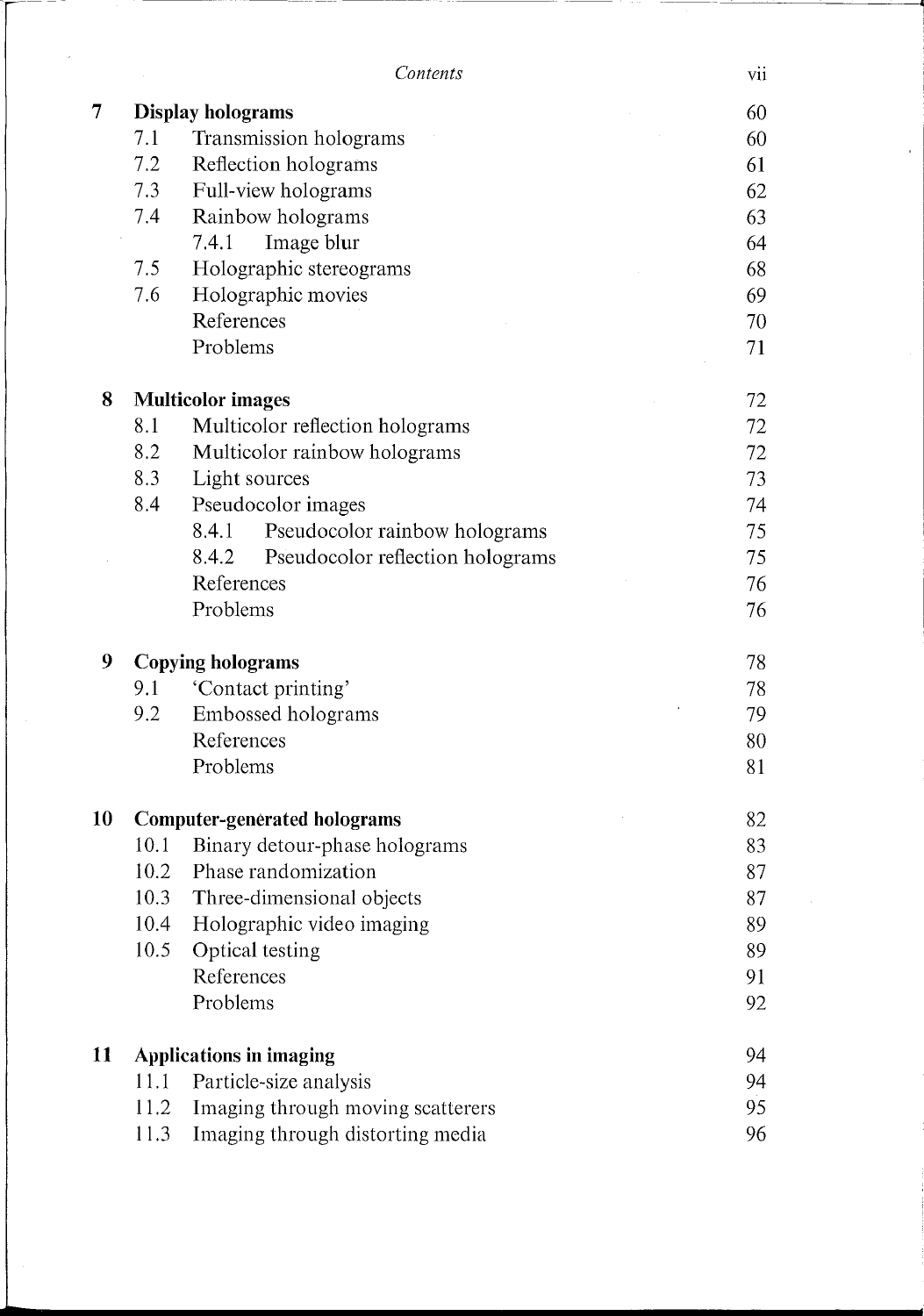|                |                                | Contents                                  | vii |
|----------------|--------------------------------|-------------------------------------------|-----|
| $\overline{7}$ | <b>Display holograms</b>       |                                           | 60  |
|                | 7.1                            | Transmission holograms                    | 60  |
|                | 7.2                            | Reflection holograms                      | 61  |
|                | 7.3                            | Full-view holograms                       | 62  |
|                | 7.4                            | Rainbow holograms                         | 63  |
|                |                                | Image blur<br>7.4.1                       | 64  |
|                | 7.5                            | Holographic stereograms                   | 68  |
|                | 7.6                            | Holographic movies                        | 69  |
|                |                                | References                                | 70  |
|                |                                | Problems                                  | 71  |
| 8              | <b>Multicolor images</b>       |                                           | 72  |
|                | 8.1                            | Multicolor reflection holograms           | 72  |
|                | 8.2                            | Multicolor rainbow holograms              | 72  |
|                | 8.3                            | Light sources                             | 73  |
|                | 8.4                            | Pseudocolor images                        | 74  |
|                |                                | Pseudocolor rainbow holograms<br>8.4.1    | 75  |
|                |                                | 8.4.2<br>Pseudocolor reflection holograms | 75  |
|                |                                | References                                | 76  |
|                |                                | Problems                                  | 76  |
| 9              | <b>Copying holograms</b>       |                                           | 78  |
|                | 9.1                            | 'Contact printing'                        | 78  |
|                | 9.2                            | Embossed holograms                        | 79  |
|                |                                | References                                | 80  |
|                |                                | Problems                                  | 81  |
| 10             |                                | <b>Computer-generated holograms</b>       | 82  |
|                | 10.1                           | Binary detour-phase holograms             | 83  |
|                | 10.2                           | Phase randomization                       | 87  |
|                | 10.3                           | Three-dimensional objects                 | 87  |
|                | 10.4                           | Holographic video imaging                 | 89  |
|                | 10.5                           | Optical testing                           | 89  |
|                |                                | References                                | 91  |
|                |                                | Problems                                  | 92  |
| 11             | <b>Applications in imaging</b> |                                           | 94  |
|                | 11.1                           | Particle-size analysis                    | 94  |
|                | 11.2                           | Imaging through moving scatterers         | 95  |
|                | 11.3                           | Imaging through distorting media          | 96  |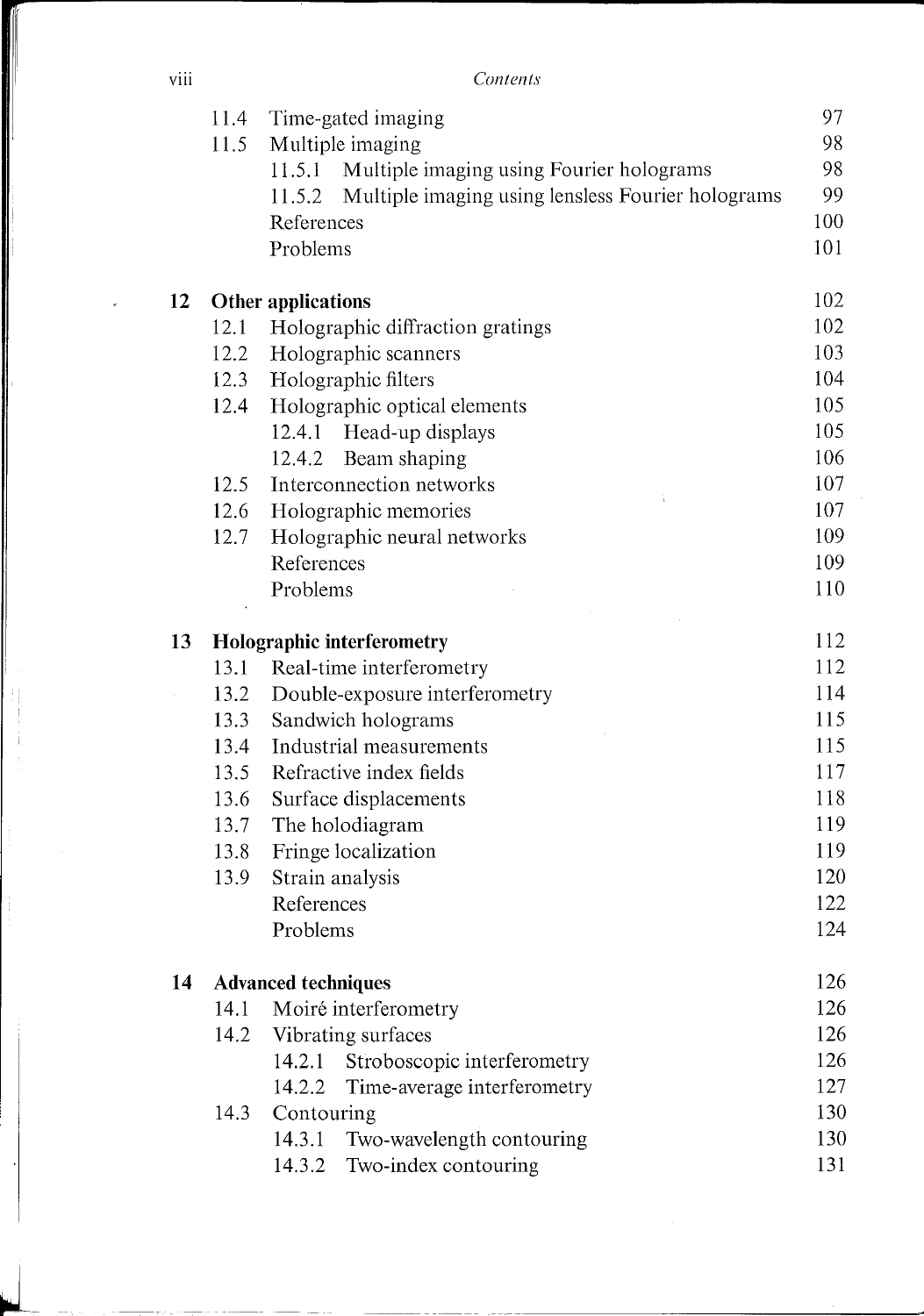viii *Contents* 

|    | 11.4 | Time-gated imaging                                          | 97  |
|----|------|-------------------------------------------------------------|-----|
|    | 11.5 | Multiple imaging                                            | 98  |
|    |      | Multiple imaging using Fourier holograms<br>11.5.1          | 98  |
|    |      | Multiple imaging using lensless Fourier holograms<br>11.5.2 | 99  |
|    |      | References                                                  | 100 |
|    |      | Problems                                                    | 101 |
| 12 |      | Other applications                                          | 102 |
|    | 12.1 | Holographic diffraction gratings                            | 102 |
|    | 12.2 | Holographic scanners                                        | 103 |
|    | 12.3 | Holographic filters                                         | 104 |
|    | 12.4 | Holographic optical elements                                | 105 |
|    |      | Head-up displays<br>12.4.1                                  | 105 |
|    |      | Beam shaping<br>12.4.2                                      | 106 |
|    | 12.5 | Interconnection networks                                    | 107 |
|    | 12.6 | Holographic memories                                        | 107 |
|    | 12.7 | Holographic neural networks                                 | 109 |
|    |      | References                                                  | 109 |
|    |      | Problems                                                    | 110 |
| 13 |      | <b>Holographic interferometry</b>                           | 112 |
|    | 13.1 | Real-time interferometry                                    | 112 |
|    | 13.2 | Double-exposure interferometry                              | 114 |
|    | 13.3 | Sandwich holograms                                          | 115 |
|    | 13.4 | Industrial measurements                                     | 115 |
|    | 13.5 | Refractive index fields                                     | 117 |
|    | 13.6 | Surface displacements                                       | 118 |
|    | 13.7 | The holodiagram                                             | 119 |
|    | 13.8 | Fringe localization                                         | 119 |
|    | 13.9 | Strain analysis                                             | 120 |
|    |      | References                                                  | 122 |
|    |      | Problems                                                    | 124 |
| 14 |      | <b>Advanced techniques</b>                                  | 126 |
|    | 14.1 | Moiré interferometry                                        | 126 |
|    | 14.2 | Vibrating surfaces                                          | 126 |
|    |      | Stroboscopic interferometry<br>14.2.1                       | 126 |
|    |      | Time-average interferometry<br>14.2.2                       | 127 |
|    | 14.3 | Contouring                                                  | 130 |
|    |      | 14.3.1<br>Two-wavelength contouring                         | 130 |
|    |      | Two-index contouring<br>14.3.2                              | 131 |

 $\frac{1}{2}$  $\mathbf i$ 

~-